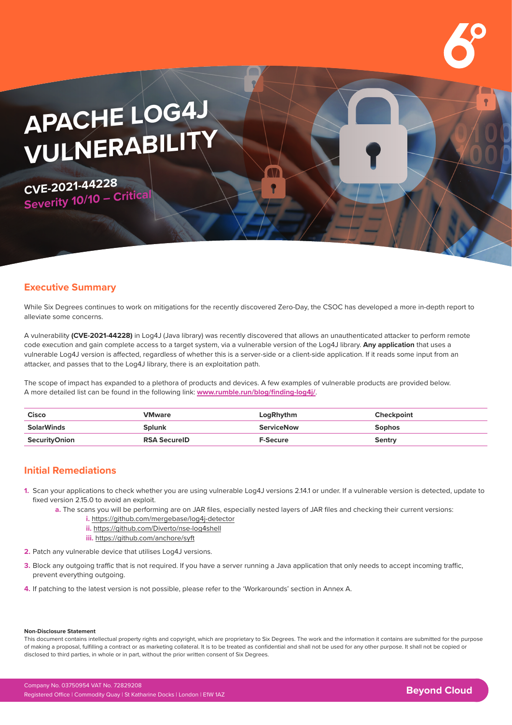# **APACHE LOG4J VULNERABILITY**

**CVE-2021-44228 Severity 10/10 – Critical**

### **Executive Summary**

While Six Degrees continues to work on mitigations for the recently discovered Zero-Day, the CSOC has developed a more in-depth report to alleviate some concerns.

A vulnerability **(CVE-2021-44228)** in Log4J (Java library) was recently discovered that allows an unauthenticated attacker to perform remote code execution and gain complete access to a target system, via a vulnerable version of the Log4J library. **Any application** that uses a vulnerable Log4J version is affected, regardless of whether this is a server-side or a client-side application. If it reads some input from an attacker, and passes that to the Log4J library, there is an exploitation path.

The scope of impact has expanded to a plethora of products and devices. A few examples of vulnerable products are provided below. A more detailed list can be found in the following link: **[www.rumble.run/blog/finding-log4j/](https://www.rumble.run/blog/finding-log4j/)**.

| Cisco         | <b>VMware</b>       | LogRhythm         | <b>Checkpoint</b> |
|---------------|---------------------|-------------------|-------------------|
| SolarWinds    | Splunk              | <b>ServiceNow</b> | Sophos            |
| SecurityOnion | <b>RSA SecureID</b> | <b>F-Secure</b>   | Sentry            |

## **Initial Remediations**

- **1.** Scan your applications to check whether you are using vulnerable Log4J versions 2.14.1 or under. If a vulnerable version is detected, update to fixed version 2.15.0 to avoid an exploit.
	- **a.** The scans you will be performing are on JAR files, especially nested layers of JAR files and checking their current versions:
		- **i.** <https://github.com/mergebase/log4j-detector>
		- **ii.** <https://github.com/Diverto/nse-log4shell>
		- **iii.** <https://github.com/anchore/syft>
- **2.** Patch any vulnerable device that utilises Log4J versions.
- **3.** Block any outgoing traffic that is not required. If you have a server running a Java application that only needs to accept incoming traffic, prevent everything outgoing.
- **4.** If patching to the latest version is not possible, please refer to the 'Workarounds' section in Annex A.

#### **Non-Disclosure Statement**

This document contains intellectual property rights and copyright, which are proprietary to Six Degrees. The work and the information it contains are submitted for the purpose of making a proposal, fulfilling a contract or as marketing collateral. It is to be treated as confidential and shall not be used for any other purpose. It shall not be copied or disclosed to third parties, in whole or in part, without the prior written consent of Six Degrees.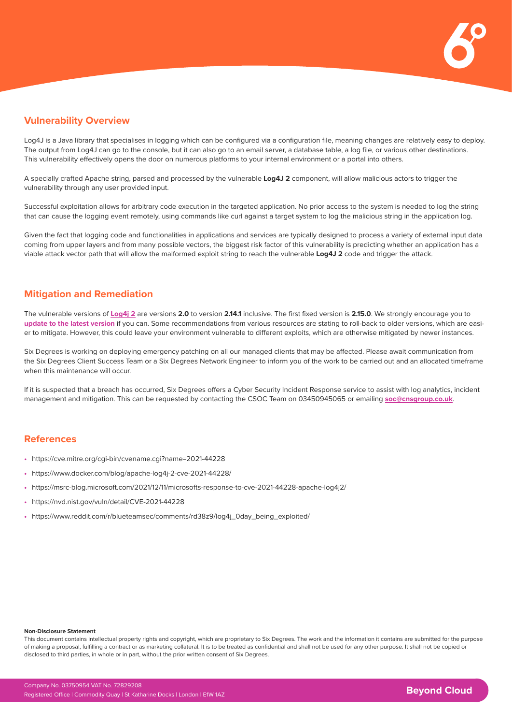

### **Vulnerability Overview**

Log4J is a Java library that specialises in logging which can be configured via a configuration file, meaning changes are relatively easy to deploy. The output from Log4J can go to the console, but it can also go to an email server, a database table, a log file, or various other destinations. This vulnerability effectively opens the door on numerous platforms to your internal environment or a portal into others.

A specially crafted Apache string, parsed and processed by the vulnerable **Log4J 2** component, will allow malicious actors to trigger the vulnerability through any user provided input.

Successful exploitation allows for arbitrary code execution in the targeted application. No prior access to the system is needed to log the string that can cause the logging event remotely, using commands like curl against a target system to log the malicious string in the application log.

Given the fact that logging code and functionalities in applications and services are typically designed to process a variety of external input data coming from upper layers and from many possible vectors, the biggest risk factor of this vulnerability is predicting whether an application has a viable attack vector path that will allow the malformed exploit string to reach the vulnerable **Log4J 2** code and trigger the attack.

### **Mitigation and Remediation**

The vulnerable versions of **[Log4j 2](mailto:https://logging.apache.org/log4j/2.x/?subject=)** are versions **2.0** to version **2.14.1** inclusive. The first fixed version is **2.15.0**. We strongly encourage you to **[update to the latest version](https://logging.apache.org/log4j/2.x/download.html)** if you can. Some recommendations from various resources are stating to roll-back to older versions, which are easier to mitigate. However, this could leave your environment vulnerable to different exploits, which are otherwise mitigated by newer instances.

Six Degrees is working on deploying emergency patching on all our managed clients that may be affected. Please await communication from the Six Degrees Client Success Team or a Six Degrees Network Engineer to inform you of the work to be carried out and an allocated timeframe when this maintenance will occur

If it is suspected that a breach has occurred, Six Degrees offers a Cyber Security Incident Response service to assist with log analytics, incident management and mitigation. This can be requested by contacting the CSOC Team on 03450945065 or emailing **[soc@cnsgroup.co.uk](mailto:soc%40cnsgroup.co.uk?subject=)**.

#### **References**

- **•** <https://cve.mitre.org/cgi-bin/cvename.cgi?name=2021-44228>
- **•** <https://www.docker.com/blog/apache-log4j-2-cve-2021-44228/>
- **•** <https://msrc-blog.microsoft.com/2021/12/11/microsofts-response-to-cve-2021-44228-apache-log4j2/>
- **•** <https://nvd.nist.gov/vuln/detail/CVE-2021-44228>
- **•** [https://www.reddit.com/r/blueteamsec/comments/rd38z9/log4j\\_0day\\_being\\_exploited/](https://www.reddit.com/r/blueteamsec/comments/rd38z9/log4j_0day_being_exploited/)

#### **Non-Disclosure Statement**

This document contains intellectual property rights and copyright, which are proprietary to Six Degrees. The work and the information it contains are submitted for the purpose of making a proposal, fulfilling a contract or as marketing collateral. It is to be treated as confidential and shall not be used for any other purpose. It shall not be copied or disclosed to third parties, in whole or in part, without the prior written consent of Six Degrees.